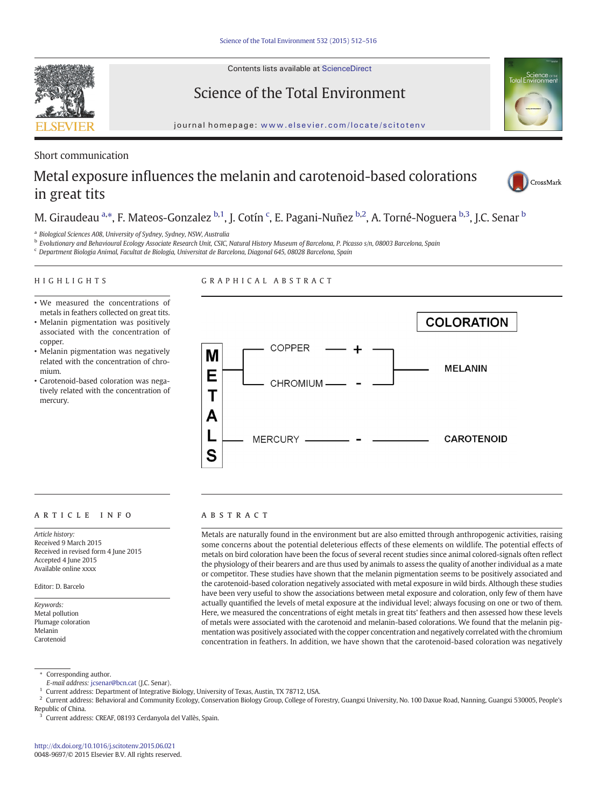Contents lists available at ScienceDirect



Science of the Total Environment



journal homepage: <www.elsevier.com/locate/scitotenv>

### Short communication

# Metal exposure influences the melanin and carotenoid-based colorations in great tits



## M. Giraudeau <sup>a,</sup>\*, F. Mateos-Gonzalez <sup>b,1</sup>, J. Cotín <sup>c</sup>, E. Pagani-Nuñez <sup>b,2</sup>, A. Torné-Noguera <sup>b,3</sup>, J.C. Senar <sup>b</sup>

<sup>a</sup> Biological Sciences A08, University of Sydney, Sydney, NSW, Australia

<sup>b</sup> Evolutionary and Behavioural Ecology Associate Research Unit, CSIC, Natural History Museum of Barcelona, P. Picasso s/n, 08003 Barcelona, Spain

<sup>c</sup> Department Biologia Animal, Facultat de Biologia, Universitat de Barcelona, Diagonal 645, 08028 Barcelona, Spain

#### HIGHLIGHTS

GRAPHICAL ABSTRACT

- We measured the concentrations of metals in feathers collected on great tits.
- Melanin pigmentation was positively associated with the concentration of copper.
- Melanin pigmentation was negatively related with the concentration of chromium.
- Carotenoid-based coloration was negatively related with the concentration of mercury.



### article info abstract

Article history: Received 9 March 2015 Received in revised form 4 June 2015 Accepted 4 June 2015 Available online xxxx

Editor: D. Barcelo

Keywords: Metal pollution Plumage coloration Melanin Carotenoid

Metals are naturally found in the environment but are also emitted through anthropogenic activities, raising some concerns about the potential deleterious effects of these elements on wildlife. The potential effects of metals on bird coloration have been the focus of several recent studies since animal colored-signals often reflect the physiology of their bearers and are thus used by animals to assess the quality of another individual as a mate or competitor. These studies have shown that the melanin pigmentation seems to be positively associated and the carotenoid-based coloration negatively associated with metal exposure in wild birds. Although these studies have been very useful to show the associations between metal exposure and coloration, only few of them have actually quantified the levels of metal exposure at the individual level; always focusing on one or two of them. Here, we measured the concentrations of eight metals in great tits' feathers and then assessed how these levels of metals were associated with the carotenoid and melanin-based colorations. We found that the melanin pigmentation was positively associated with the copper concentration and negatively correlated with the chromium concentration in feathers. In addition, we have shown that the carotenoid-based coloration was negatively

<sup>⁎</sup> Corresponding author.

E-mail address: [jcsenar@bcn.cat](mailto:jcsenar@bcn.cat) (J.C. Senar).

<sup>1</sup> Current address: Department of Integrative Biology, University of Texas, Austin, TX 78712, USA.

<sup>&</sup>lt;sup>2</sup> Current address: Behavioral and Community Ecology, Conservation Biology Group, College of Forestry, Guangxi University, No. 100 Daxue Road, Nanning, Guangxi 530005, People's

Republic of China.

<sup>3</sup> Current address: CREAF, 08193 Cerdanyola del Vallès, Spain.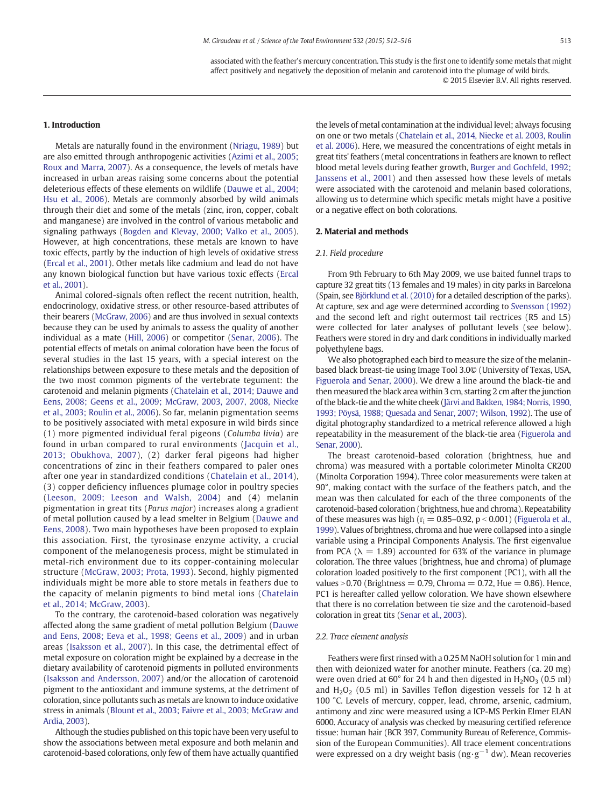associated with the feather's mercury concentration. This study is the first one to identify some metals that might affect positively and negatively the deposition of melanin and carotenoid into the plumage of wild birds. © 2015 Elsevier B.V. All rights reserved.

#### 1. Introduction

Metals are naturally found in the environment [\(Nriagu, 1989\)](#page-4-0) but are also emitted through anthropogenic activities ([Azimi et al., 2005;](#page-3-0) [Roux and Marra, 2007\)](#page-3-0). As a consequence, the levels of metals have increased in urban areas raising some concerns about the potential deleterious effects of these elements on wildlife [\(Dauwe et al., 2004;](#page-3-0) [Hsu et al., 2006](#page-3-0)). Metals are commonly absorbed by wild animals through their diet and some of the metals (zinc, iron, copper, cobalt and manganese) are involved in the control of various metabolic and signaling pathways [\(Bogden and Klevay, 2000; Valko et al., 2005](#page-3-0)). However, at high concentrations, these metals are known to have toxic effects, partly by the induction of high levels of oxidative stress [\(Ercal et al., 2001\)](#page-3-0). Other metals like cadmium and lead do not have any known biological function but have various toxic effects ([Ercal](#page-3-0) [et al., 2001](#page-3-0)).

Animal colored-signals often reflect the recent nutrition, health, endocrinology, oxidative stress, or other resource-based attributes of their bearers [\(McGraw, 2006](#page-3-0)) and are thus involved in sexual contexts because they can be used by animals to assess the quality of another individual as a mate ([Hill, 2006\)](#page-3-0) or competitor ([Senar, 2006\)](#page-4-0). The potential effects of metals on animal coloration have been the focus of several studies in the last 15 years, with a special interest on the relationships between exposure to these metals and the deposition of the two most common pigments of the vertebrate tegument: the carotenoid and melanin pigments [\(Chatelain et al., 2014; Dauwe and](#page-3-0) [Eens, 2008; Geens et al., 2009; McGraw, 2003, 2007, 2008, Niecke](#page-3-0) [et al., 2003; Roulin et al., 2006\)](#page-3-0). So far, melanin pigmentation seems to be positively associated with metal exposure in wild birds since (1) more pigmented individual feral pigeons (Columba livia) are found in urban compared to rural environments [\(Jacquin et al.,](#page-3-0) [2013; Obukhova, 2007\)](#page-3-0), (2) darker feral pigeons had higher concentrations of zinc in their feathers compared to paler ones after one year in standardized conditions ([Chatelain et al., 2014](#page-3-0)), (3) copper deficiency influences plumage color in poultry species [\(Leeson, 2009; Leeson and Walsh, 2004\)](#page-3-0) and (4) melanin pigmentation in great tits (Parus major) increases along a gradient of metal pollution caused by a lead smelter in Belgium ([Dauwe and](#page-3-0) [Eens, 2008](#page-3-0)). Two main hypotheses have been proposed to explain this association. First, the tyrosinase enzyme activity, a crucial component of the melanogenesis process, might be stimulated in metal-rich environment due to its copper-containing molecular structure [\(McGraw, 2003; Prota, 1993](#page-3-0)). Second, highly pigmented individuals might be more able to store metals in feathers due to the capacity of melanin pigments to bind metal ions [\(Chatelain](#page-3-0) [et al., 2014; McGraw, 2003\)](#page-3-0).

To the contrary, the carotenoid-based coloration was negatively affected along the same gradient of metal pollution Belgium [\(Dauwe](#page-3-0) [and Eens, 2008; Eeva et al., 1998; Geens et al., 2009\)](#page-3-0) and in urban areas ([Isaksson et al., 2007\)](#page-3-0). In this case, the detrimental effect of metal exposure on coloration might be explained by a decrease in the dietary availability of carotenoid pigments in polluted environments [\(Isaksson and Andersson, 2007\)](#page-3-0) and/or the allocation of carotenoid pigment to the antioxidant and immune systems, at the detriment of coloration, since pollutants such as metals are known to induce oxidative stress in animals [\(Blount et al., 2003; Faivre et al., 2003; McGraw and](#page-3-0) [Ardia, 2003\)](#page-3-0).

Although the studies published on this topic have been very useful to show the associations between metal exposure and both melanin and carotenoid-based colorations, only few of them have actually quantified the levels of metal contamination at the individual level; always focusing on one or two metals ([Chatelain et al., 2014, Niecke et al. 2003, Roulin](#page-3-0) [et al. 2006](#page-3-0)). Here, we measured the concentrations of eight metals in great tits' feathers (metal concentrations in feathers are known to reflect blood metal levels during feather growth, [Burger and Gochfeld, 1992;](#page-3-0) [Janssens et al., 2001](#page-3-0)) and then assessed how these levels of metals were associated with the carotenoid and melanin based colorations, allowing us to determine which specific metals might have a positive or a negative effect on both colorations.

#### 2. Material and methods

#### 2.1. Field procedure

From 9th February to 6th May 2009, we use baited funnel traps to capture 32 great tits (13 females and 19 males) in city parks in Barcelona (Spain, see [Björklund et al. \(2010\)](#page-3-0) for a detailed description of the parks). At capture, sex and age were determined according to [Svensson \(1992\)](#page-4-0) and the second left and right outermost tail rectrices (R5 and L5) were collected for later analyses of pollutant levels (see below). Feathers were stored in dry and dark conditions in individually marked polyethylene bags.

We also photographed each bird to measure the size of the melaninbased black breast-tie using Image Tool 3.0© (University of Texas, USA, [Figuerola and Senar, 2000](#page-3-0)). We drew a line around the black-tie and then measured the black area within 3 cm, starting 2 cm after the junction of the black-tie and the white cheek ([Järvi and Bakken, 1984; Norris, 1990,](#page-3-0) [1993; Pöysä, 1988; Quesada and Senar, 2007; Wilson, 1992](#page-3-0)). The use of digital photography standardized to a metrical reference allowed a high repeatability in the measurement of the black-tie area [\(Figuerola and](#page-3-0) [Senar, 2000](#page-3-0)).

The breast carotenoid-based coloration (brightness, hue and chroma) was measured with a portable colorimeter Minolta CR200 (Minolta Corporation 1994). Three color measurements were taken at 90°, making contact with the surface of the feathers patch, and the mean was then calculated for each of the three components of the carotenoid-based coloration (brightness, hue and chroma). Repeatability of these measures was high ( $r_i = 0.85-0.92$ ,  $p < 0.001$ ) ([Figuerola et al.,](#page-3-0) [1999](#page-3-0)). Values of brightness, chroma and hue were collapsed into a single variable using a Principal Components Analysis. The first eigenvalue from PCA ( $\lambda = 1.89$ ) accounted for 63% of the variance in plumage coloration. The three values (brightness, hue and chroma) of plumage coloration loaded positively to the first component (PC1), with all the values  $>$  0.70 (Brightness = 0.79, Chroma = 0.72, Hue = 0.86). Hence, PC1 is hereafter called yellow coloration. We have shown elsewhere that there is no correlation between tie size and the carotenoid-based coloration in great tits ([Senar et al., 2003\)](#page-4-0).

#### 2.2. Trace element analysis

Feathers were first rinsed with a 0.25 M NaOH solution for 1 min and then with deionized water for another minute. Feathers (ca. 20 mg) were oven dried at  $60^{\circ}$  for 24 h and then digested in  $H_2NO_3$  (0.5 ml) and  $H_2O_2$  (0.5 ml) in Savilles Teflon digestion vessels for 12 h at 100 °C. Levels of mercury, copper, lead, chrome, arsenic, cadmium, antimony and zinc were measured using a ICP-MS Perkin Elmer ELAN 6000. Accuracy of analysis was checked by measuring certified reference tissue: human hair (BCR 397, Community Bureau of Reference, Commission of the European Communities). All trace element concentrations were expressed on a dry weight basis (ng·g<sup>-1</sup> dw). Mean recoveries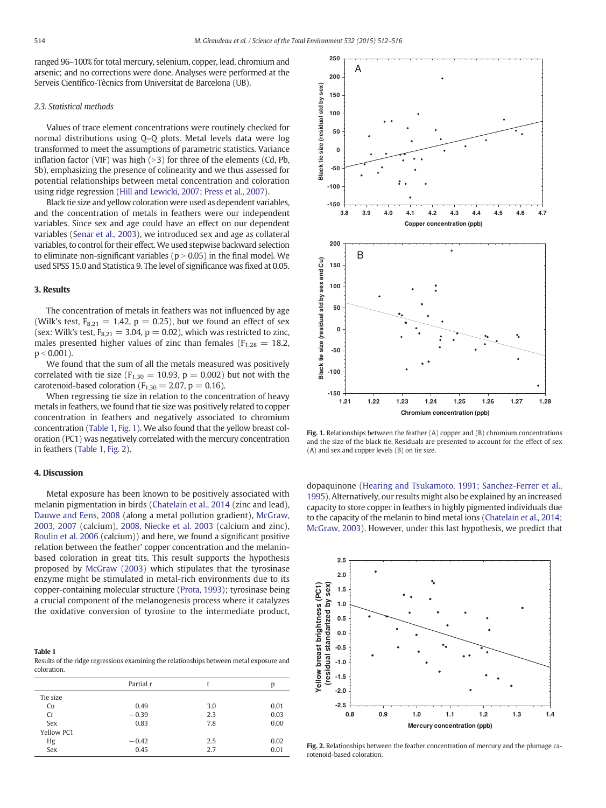ranged 96–100% for total mercury, selenium, copper, lead, chromium and arsenic; and no corrections were done. Analyses were performed at the Serveis Científico-Tècnics from Universitat de Barcelona (UB).

#### 2.3. Statistical methods

Values of trace element concentrations were routinely checked for normal distributions using Q–Q plots. Metal levels data were log transformed to meet the assumptions of parametric statistics. Variance inflation factor (VIF) was high  $(>3)$  for three of the elements (Cd, Pb, Sb), emphasizing the presence of colinearity and we thus assessed for potential relationships between metal concentration and coloration using ridge regression ([Hill and Lewicki, 2007; Press et al., 2007\)](#page-3-0).

Black tie size and yellow coloration were used as dependent variables, and the concentration of metals in feathers were our independent variables. Since sex and age could have an effect on our dependent variables ([Senar et al., 2003](#page-4-0)), we introduced sex and age as collateral variables, to control for their effect.We used stepwise backward selection to eliminate non-significant variables ( $p > 0.05$ ) in the final model. We used SPSS 15.0 and Statistica 9. The level of significance was fixed at 0.05.

#### 3. Results

The concentration of metals in feathers was not influenced by age (Wilk's test,  $F_{8,21} = 1.42$ ,  $p = 0.25$ ), but we found an effect of sex (sex: Wilk's test,  $F_{8,21} = 3.04$ ,  $p = 0.02$ ), which was restricted to zinc, males presented higher values of zinc than females ( $F_{1,28} = 18.2$ ,  $p < 0.001$ ).

We found that the sum of all the metals measured was positively correlated with tie size ( $F_{1,30} = 10.93$ ,  $p = 0.002$ ) but not with the carotenoid-based coloration ( $F_{1,30} = 2.07$ ,  $p = 0.16$ ).

When regressing tie size in relation to the concentration of heavy metals in feathers, we found that tie size was positively related to copper concentration in feathers and negatively associated to chromium concentration (Table 1, Fig. 1). We also found that the yellow breast coloration (PC1) was negatively correlated with the mercury concentration in feathers (Table 1, Fig. 2).

#### 4. Discussion

Metal exposure has been known to be positively associated with melanin pigmentation in birds ([Chatelain et al., 2014](#page-3-0) (zinc and lead), [Dauwe and Eens, 2008](#page-3-0) (along a metal pollution gradient), [McGraw,](#page-3-0) [2003, 2007](#page-3-0) (calcium), [2008, Niecke et al. 2003](#page-3-0) (calcium and zinc), [Roulin et al. 2006](#page-4-0) (calcium)) and here, we found a significant positive relation between the feather' copper concentration and the melaninbased coloration in great tits. This result supports the hypothesis proposed by [McGraw \(2003\)](#page-3-0) which stipulates that the tyrosinase enzyme might be stimulated in metal-rich environments due to its copper-containing molecular structure [\(Prota, 1993\)](#page-4-0); tyrosinase being a crucial component of the melanogenesis process where it catalyzes the oxidative conversion of tyrosine to the intermediate product,

Table 1 Results of the ridge regressions examining the relationships between metal exposure and coloration.

|            | Partial r |     | p    |
|------------|-----------|-----|------|
| Tie size   |           |     |      |
| Cu         | 0.49      | 3.0 | 0.01 |
| Cr         | $-0.39$   | 2.3 | 0.03 |
| Sex        | 0.83      | 7.8 | 0.00 |
| Yellow PC1 |           |     |      |
| Hg         | $-0.42$   | 2.5 | 0.02 |
| Sex        | 0.45      | 2.7 | 0.01 |



Fig. 1. Relationships between the feather (A) copper and (B) chromium concentrations and the size of the black tie. Residuals are presented to account for the effect of sex (A) and sex and copper levels (B) on tie size.

dopaquinone ([Hearing and Tsukamoto, 1991; Sanchez-Ferrer et al.,](#page-3-0) [1995\)](#page-3-0). Alternatively, our results might also be explained by an increased capacity to store copper in feathers in highly pigmented individuals due to the capacity of the melanin to bind metal ions [\(Chatelain et al., 2014;](#page-3-0) [McGraw, 2003\)](#page-3-0). However, under this last hypothesis, we predict that



Fig. 2. Relationships between the feather concentration of mercury and the plumage carotenoid-based coloration.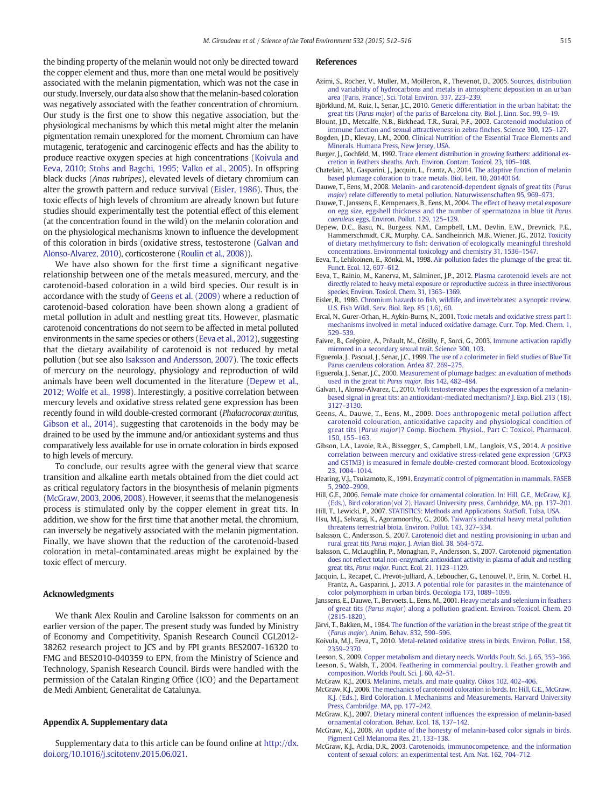<span id="page-3-0"></span>the binding property of the melanin would not only be directed toward the copper element and thus, more than one metal would be positively associated with the melanin pigmentation, which was not the case in our study. Inversely, our data also show that the melanin-based coloration was negatively associated with the feather concentration of chromium. Our study is the first one to show this negative association, but the physiological mechanisms by which this metal might alter the melanin pigmentation remain unexplored for the moment. Chromium can have mutagenic, teratogenic and carcinogenic effects and has the ability to produce reactive oxygen species at high concentrations (Koivula and Eeva, 2010; Stohs and Bagchi, 1995; Valko et al., 2005). In offspring black ducks (Anas rubripes), elevated levels of dietary chromium can alter the growth pattern and reduce survival (Eisler, 1986). Thus, the toxic effects of high levels of chromium are already known but future studies should experimentally test the potential effect of this element (at the concentration found in the wild) on the melanin coloration and on the physiological mechanisms known to influence the development of this coloration in birds (oxidative stress, testosterone (Galvan and Alonso-Alvarez, 2010), corticosterone [\(Roulin et al., 2008\)](#page-4-0)).

We have also shown for the first time a significant negative relationship between one of the metals measured, mercury, and the carotenoid-based coloration in a wild bird species. Our result is in accordance with the study of Geens et al. (2009) where a reduction of carotenoid-based coloration have been shown along a gradient of metal pollution in adult and nestling great tits. However, plasmatic carotenoid concentrations do not seem to be affected in metal polluted environments in the same species or others (Eeva et al., 2012), suggesting that the dietary availability of carotenoid is not reduced by metal pollution (but see also Isaksson and Andersson, 2007). The toxic effects of mercury on the neurology, physiology and reproduction of wild animals have been well documented in the literature (Depew et al., 2012; Wolfe et al., 1998). Interestingly, a positive correlation between mercury levels and oxidative stress related gene expression has been recently found in wild double-crested cormorant (Phalacrocorax auritus, Gibson et al., 2014), suggesting that carotenoids in the body may be drained to be used by the immune and/or antioxidant systems and thus comparatively less available for use in ornate coloration in birds exposed to high levels of mercury.

To conclude, our results agree with the general view that scarce transition and alkaline earth metals obtained from the diet could act as critical regulatory factors in the biosynthesis of melanin pigments (McGraw, 2003, 2006, 2008). However, it seems that the melanogenesis process is stimulated only by the copper element in great tits. In addition, we show for the first time that another metal, the chromium, can inversely be negatively associated with the melanin pigmentation. Finally, we have shown that the reduction of the carotenoid-based coloration in metal-contaminated areas might be explained by the toxic effect of mercury.

#### Acknowledgments

We thank Alex Roulin and Caroline Isaksson for comments on an earlier version of the paper. The present study was funded by Ministry of Economy and Competitivity, Spanish Research Council CGL2012- 38262 research project to JCS and by FPI grants BES2007-16320 to FMG and BES2010-040359 to EPN, from the Ministry of Science and Technology, Spanish Research Council. Birds were handled with the permission of the Catalan Ringing Office (ICO) and the Departament de Medi Ambient, Generalitat de Catalunya.

#### Appendix A. Supplementary data

Supplementary data to this article can be found online at [http://dx.](http://dx.doi.org/10.1016/j.scitotenv.2015.06.021) [doi.org/10.1016/j.scitotenv.2015.06.021.](http://dx.doi.org/10.1016/j.scitotenv.2015.06.021)

#### References

- Azimi, S., Rocher, V., Muller, M., Moilleron, R., Thevenot, D., 2005. [Sources, distribution](http://refhub.elsevier.com/S0048-9697(15)30218-7/rf0005) [and variability of hydrocarbons and metals in atmospheric deposition in an urban](http://refhub.elsevier.com/S0048-9697(15)30218-7/rf0005) [area \(Paris, France\). Sci. Total Environ. 337, 223](http://refhub.elsevier.com/S0048-9697(15)30218-7/rf0005)–239.
- Björklund, M., Ruiz, I., Senar, J.C., 2010. [Genetic differentiation in the urban habitat: the](http://refhub.elsevier.com/S0048-9697(15)30218-7/rf0010) great tits (Parus major[\) of the parks of Barcelona city. Biol. J. Linn. Soc. 99, 9](http://refhub.elsevier.com/S0048-9697(15)30218-7/rf0010)–19.
- Blount, J.D., Metcalfe, N.B., Birkhead, T.R., Surai, P.F., 2003. [Carotenoid modulation of](http://refhub.elsevier.com/S0048-9697(15)30218-7/rf0015) [immune function and sexual attractiveness in zebra](http://refhub.elsevier.com/S0048-9697(15)30218-7/rf0015) finches. Science 300, 125–127.
- Bogden, J.D., Klevay, L.M., 2000. [Clinical Nutrition of the Essential Trace Elements and](http://refhub.elsevier.com/S0048-9697(15)30218-7/rf0235) [Minerals. Humana Press, New Jersey, USA](http://refhub.elsevier.com/S0048-9697(15)30218-7/rf0235).
- Burger, J., Gochfeld, M., 1992. [Trace element distribution in growing feathers: additional ex](http://refhub.elsevier.com/S0048-9697(15)30218-7/rf0030)[cretion in feathers sheaths. Arch. Environ. Contam. Toxicol. 23, 105](http://refhub.elsevier.com/S0048-9697(15)30218-7/rf0030)–108.
- Chatelain, M., Gasparini, J., Jacquin, L., Frantz, A., 2014. [The adaptive function of melanin](http://refhub.elsevier.com/S0048-9697(15)30218-7/rf0035) [based plumage coloration to trace metals. Biol. Lett. 10, 20140164.](http://refhub.elsevier.com/S0048-9697(15)30218-7/rf0035)
- Dauwe, T., Eens, M., 2008. [Melanin- and carotenoid-dependent signals of great tits \(](http://refhub.elsevier.com/S0048-9697(15)30218-7/rf0045)Parus major[\) relate differently to metal pollution. Naturwissenschaften 95, 969](http://refhub.elsevier.com/S0048-9697(15)30218-7/rf0045)–973.
- Dauwe, T., Janssens, E., Kempenaers, B., Eens, M., 2004. [The effect of heavy metal exposure](http://refhub.elsevier.com/S0048-9697(15)30218-7/rf0040) [on egg size, eggshell thickness and the number of spermatozoa in blue tit](http://refhub.elsevier.com/S0048-9697(15)30218-7/rf0040) Parus caeruleus [eggs. Environ. Pollut. 129, 125](http://refhub.elsevier.com/S0048-9697(15)30218-7/rf0040)–129.
- Depew, D.C., Basu, N., Burgess, N.M., Campbell, L.M., Devlin, E.W., Drevnick, P.E., Hammerschmidt, C.R., Murphy, C.A., Sandheinrich, M.B., Wiener, JG., 2012. [Toxicity](http://refhub.elsevier.com/S0048-9697(15)30218-7/rf9000) of dietary methylmercury to fi[sh: derivation of ecologically meaningful threshold](http://refhub.elsevier.com/S0048-9697(15)30218-7/rf9000) [concentrations. Environmental toxicology and chemistry 31, 1536](http://refhub.elsevier.com/S0048-9697(15)30218-7/rf9000)–1547.
- Eeva, T., Lehikoinen, E., Rönkä, M., 1998. [Air pollution fades the plumage of the great tit.](http://refhub.elsevier.com/S0048-9697(15)30218-7/rf0050) [Funct. Ecol. 12, 607](http://refhub.elsevier.com/S0048-9697(15)30218-7/rf0050)–612.
- Eeva, T., Rainio, M., Kanerva, M., Salminen, J.P., 2012. [Plasma carotenoid levels are not](http://refhub.elsevier.com/S0048-9697(15)30218-7/rf0055) [directly related to heavy metal exposure or reproductive success in three insectivorous](http://refhub.elsevier.com/S0048-9697(15)30218-7/rf0055) [species. Environ. Toxicol. Chem. 31, 1363](http://refhub.elsevier.com/S0048-9697(15)30218-7/rf0055)–1369.
- Eisler, R., 1986. Chromium hazards to fi[sh, wildlife, and invertebrates: a synoptic review.](http://refhub.elsevier.com/S0048-9697(15)30218-7/rf0240) [U.S. Fish Wildl. Serv. Biol. Rep. 85 \(1.6\), 60.](http://refhub.elsevier.com/S0048-9697(15)30218-7/rf0240)
- Ercal, N., Gurer-Orhan, H., Aykin-Burns, N., 2001. [Toxic metals and oxidative stress part I:](http://refhub.elsevier.com/S0048-9697(15)30218-7/rf0060) [mechanisms involved in metal induced oxidative damage. Curr. Top. Med. Chem. 1,](http://refhub.elsevier.com/S0048-9697(15)30218-7/rf0060) [529](http://refhub.elsevier.com/S0048-9697(15)30218-7/rf0060)–539.
- Faivre, B., Grégoire, A., Préault, M., Cézilly, F., Sorci, G., 2003. [Immune activation rapidly](http://refhub.elsevier.com/S0048-9697(15)30218-7/rf0245) [mirrored in a secondary sexual trait. Science 300, 103](http://refhub.elsevier.com/S0048-9697(15)30218-7/rf0245).
- Figuerola, J., Pascual, J., Senar, J.C., 1999. [The use of a colorimeter in](http://refhub.elsevier.com/S0048-9697(15)30218-7/rf9250) field studies of Blue Tit [Parus caeruleus coloration. Ardea 87, 269](http://refhub.elsevier.com/S0048-9697(15)30218-7/rf9250)–275.
- Figuerola, J., Senar, J.C., 2000. [Measurement of plumage badges: an evaluation of methods](http://refhub.elsevier.com/S0048-9697(15)30218-7/rf0070) [used in the great tit](http://refhub.elsevier.com/S0048-9697(15)30218-7/rf0070) Parus major. Ibis 142, 482–484.
- Galvan, I., Alonso-Alvarez, C., 2010. [Yolk testosterone shapes the expression of a melanin](http://refhub.elsevier.com/S0048-9697(15)30218-7/rf0075)[based signal in great tits: an antioxidant-mediated mechanism? J. Exp. Biol. 213 \(18\),](http://refhub.elsevier.com/S0048-9697(15)30218-7/rf0075) [3127](http://refhub.elsevier.com/S0048-9697(15)30218-7/rf0075)–3130.
- Geens, A., Dauwe, T., Eens, M., 2009. Does anthropogenic [metal pollution affect](http://refhub.elsevier.com/S0048-9697(15)30218-7/rf0080) [carotenoid colouration, antioxidative capacity and physiological condition of](http://refhub.elsevier.com/S0048-9697(15)30218-7/rf0080) great tits (Parus major[\)? Comp. Biochem. Physiol., Part C: Toxicol. Pharmacol.](http://refhub.elsevier.com/S0048-9697(15)30218-7/rf0080) [150, 155](http://refhub.elsevier.com/S0048-9697(15)30218-7/rf0080)–163.
- Gibson, L.A., Lavoie, R.A., Bissegger, S., Campbell, L.M., Langlois, V.S., 2014. [A positive](http://refhub.elsevier.com/S0048-9697(15)30218-7/rf0085) [correlation between mercury and oxidative stress-related gene expression \(GPX3](http://refhub.elsevier.com/S0048-9697(15)30218-7/rf0085) [and GSTM3\) is measured in female double-crested cormorant blood. Ecotoxicology](http://refhub.elsevier.com/S0048-9697(15)30218-7/rf0085) [23, 1004](http://refhub.elsevier.com/S0048-9697(15)30218-7/rf0085)–1014.
- Hearing, V.J., Tsukamoto, K., 1991. [Enzymatic control of pigmentation in mammals. FASEB](http://refhub.elsevier.com/S0048-9697(15)30218-7/rf0090) [5, 2902](http://refhub.elsevier.com/S0048-9697(15)30218-7/rf0090)–2909.
- Hill, G.E., 2006. [Female mate choice for ornamental coloration. In: Hill, G.E., McGraw, K.J.](http://refhub.elsevier.com/S0048-9697(15)30218-7/rf5090) [\(Eds.\), Bird coloration\(vol 2\). Havard University press, Cambridge, MA, pp. 137](http://refhub.elsevier.com/S0048-9697(15)30218-7/rf5090)–201.
- Hill, T., Lewicki, P., 2007. [STATISTICS: Methods and Applications. StatSoft, Tulsa, USA.](http://refhub.elsevier.com/S0048-9697(15)30218-7/rf0250) Hsu, M.J., Selvaraj, K., Agoramoorthy, G., 2006. [Taiwan's industrial heavy metal pollution](http://refhub.elsevier.com/S0048-9697(15)30218-7/rf0095)
- [threatens terrestrial biota. Environ. Pollut. 143, 327](http://refhub.elsevier.com/S0048-9697(15)30218-7/rf0095)–334. Isaksson, C., Andersson, S., 2007. [Carotenoid diet and nestling provisioning in urban and](http://refhub.elsevier.com/S0048-9697(15)30218-7/rf0105)
- rural great tits Parus major[. J. Avian Biol. 38, 564](http://refhub.elsevier.com/S0048-9697(15)30218-7/rf0105)–572. Isaksson, C., McLaughlin, P., Monaghan, P., Andersson, S., 2007. [Carotenoid pigmentation](http://refhub.elsevier.com/S0048-9697(15)30218-7/rf0100)
- does not refl[ect total non-enzymatic antioxidant activity in plasma of adult and nestling](http://refhub.elsevier.com/S0048-9697(15)30218-7/rf0100) great tits, Parus major[. Funct. Ecol. 21, 1123](http://refhub.elsevier.com/S0048-9697(15)30218-7/rf0100)–1129.
- Jacquin, L., Recapet, C., Prevot-Julliard, A., Leboucher, G., Lenouvel, P., Erin, N., Corbel, H., Frantz, A., Gasparini, J., 2013. [A potential role for parasites in the maintenance of](http://refhub.elsevier.com/S0048-9697(15)30218-7/rf0110) [color polymorphism in urban birds. Oecologia 173, 1089](http://refhub.elsevier.com/S0048-9697(15)30218-7/rf0110)–1099.
- Janssens, E., Dauwe, T., Bervoets, L., Eens, M., 2001. [Heavy metals and selenium in feathers](http://refhub.elsevier.com/S0048-9697(15)30218-7/rf0115) of great tits (Parus major[\) along a pollution gradient. Environ. Toxicol. Chem. 20](http://refhub.elsevier.com/S0048-9697(15)30218-7/rf0115)  $(2815 - 1820)$
- Järvi, T., Bakken, M., 1984. [The function of the variation in the breast stripe of the great tit](http://refhub.elsevier.com/S0048-9697(15)30218-7/rf0120) (Parus major[\). Anim. Behav. 832, 590](http://refhub.elsevier.com/S0048-9697(15)30218-7/rf0120)–596.
- Koivula, M.J., Eeva, T., 2010. [Metal-related oxidative stress in birds. Environ. Pollut. 158,](http://refhub.elsevier.com/S0048-9697(15)30218-7/rf0125) [2359](http://refhub.elsevier.com/S0048-9697(15)30218-7/rf0125)–2370.
- Leeson, S., 2009. [Copper metabolism and dietary needs. Worlds Poult. Sci. J. 65, 353](http://refhub.elsevier.com/S0048-9697(15)30218-7/rf0130)–366. Leeson, S., Walsh, T., 2004. [Feathering in commercial poultry. I. Feather growth and](http://refhub.elsevier.com/S0048-9697(15)30218-7/rf0135) [composition. Worlds Poult. Sci. J. 60, 42](http://refhub.elsevier.com/S0048-9697(15)30218-7/rf0135)–51.
- McGraw, K.J., 2003. [Melanins, metals, and mate quality. Oikos 102, 402](http://refhub.elsevier.com/S0048-9697(15)30218-7/rf0140)–406.
- McGraw, K.J., 2006. [The mechanics of carotenoid coloration in birds. In: Hill, G.E., McGraw,](http://refhub.elsevier.com/S0048-9697(15)30218-7/rf0255) [K.J. \(Eds.\), Bird Coloration. I. Mechanisms and Measurements. Harvard University](http://refhub.elsevier.com/S0048-9697(15)30218-7/rf0255) [Press, Cambridge, MA, pp. 177](http://refhub.elsevier.com/S0048-9697(15)30218-7/rf0255)–242.
- McGraw, K.J., 2007. Dietary mineral content infl[uences the expression of melanin-based](http://refhub.elsevier.com/S0048-9697(15)30218-7/rf0145) [ornamental coloration. Behav. Ecol. 18, 137](http://refhub.elsevier.com/S0048-9697(15)30218-7/rf0145)–142.
- McGraw, K.J., 2008. [An update of the honesty of melanin-based color signals in birds.](http://refhub.elsevier.com/S0048-9697(15)30218-7/rf0150) [Pigment Cell Melanoma Res. 21, 133](http://refhub.elsevier.com/S0048-9697(15)30218-7/rf0150)–138.
- McGraw, K.J., Ardia, D.R., 2003. [Carotenoids, immunocompetence, and the information](http://refhub.elsevier.com/S0048-9697(15)30218-7/rf0155) [content of sexual colors: an experimental test. Am. Nat. 162, 704](http://refhub.elsevier.com/S0048-9697(15)30218-7/rf0155)–712.